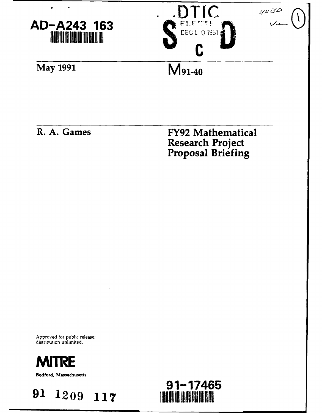



 $UV3D$ 

# **May 1991 M<sub>91-40</sub>**

 $\bullet$ 

**R. A. Games FY92 Mathematical Research Project Proposal Briefing**

Approved for public release; distribution unlimited.



**Bedford, Massachusetts**



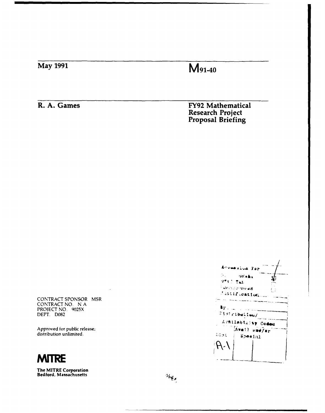# May 1991 **M** 91-40

R. A. Games FY92 Mathematical Research Project<br>Proposal Briefing

**CONTRACT SPONSOR** MSR **CONTRACT NO. N A** PROTECT **NO. 9025X** DEPT. **D082**

Approved **for** public release; **-va SE/er** distribution unlimited. **2:** <sup>t</sup>



**The MITRE Corporation Bedford,** Massachusetts

 $\frac{1}{2} \frac{1}{2} \frac{1}{2} \frac{1}{2} \frac{1}{2}$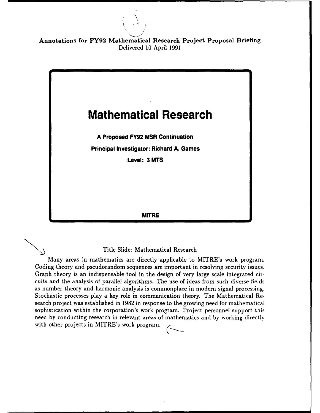

**Annotations for FY92 Mathematical Research Project Proposal Briefing Delivered 10 April 1991**



# Title Slide: Mathematical Research

Many areas in mathematics are directly applicable to MITRE's work program. Coding theory and pseudorandom sequences are important in resolving security issues. Graph theory is an indispensable tool in the design of very large scale integrated circuits and the analysis of parallel algorithms. The use of ideas from such diverse fields as number theory and harmonic analysis is commonplace in modern signal processing. Stochastic processes play a key role in communication theory. The Mathematical Research project was established in **1982** in response to the growing need for mathematical sophistication within the corporation's work program. Project personnel support this need **by** conducting research in relevant areas of mathematics and **by** working directly with other projects in MITRE's work program.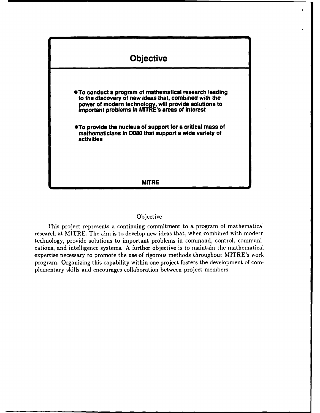

## Objective

This project represents a continuing commitment to a program of mathematical research at MITRE. The aim is to develop new ideas that, when combined with modern technology, provide solutions to important problems in command, control, communications, and intelligence systems. A further objective is to maintain the mathematical expertise necessary to promote the use of rigorous methods throughout MITRE's work program. Organizing this capability within one project fosters the development of complementary skills and encourages collaboration between project members.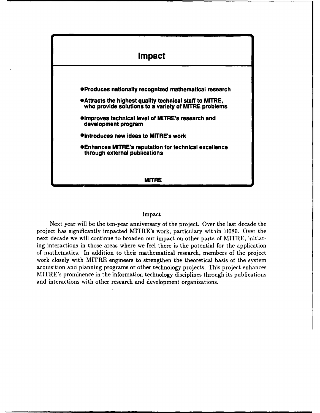

#### Impact

Next year will be the ten-year anniversary of the project. Over the last decade the project has significantly impacted MITRE's work, particulary within **D080.** Over the next decade we will continue to broaden our impact on other parts of MITRE, initiating interactions in those areas where we feel there is the potential for the application of mathematics. In addition to their mathematical research, members of the project work closely with MITRE engineers to strengthen the theoretical basis of the system acquisition and planning programs or other technology projects. This project enhances MITRE's prominence in the information technology disciplines through its publications and interactions with other research and development organizations.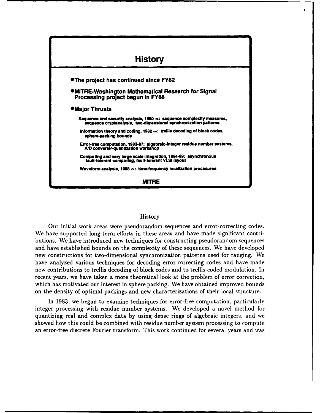

#### History

Our initial work areas were pseudorandom sequences and error-correcting codes. We have supported long-term efforts in these areas and have made significant contributions. We have introduced new techniques for constructing pseudorandom sequences and have established bounds on the complexity of these sequences. We have developed new constructions for two-dimensional synchronization patterns used for ranging. We have analyzed various techniques for decoding error-correcting codes and have made new contributions to trellis decoding of block codes and to trellis-coded modulation. In recent years, we have taken a more theoretical look at the problem of error correction, which has motivated our interest in sphere packing. We have obtained improved bounds on the density of optimal packings and new characterizations of their local structure.

In 1983, we began to examine techniques for error-free computation, particularly integer processing with residue number systems. We developed a novel method for quantizing real and complex data by using dense rings of algebraic integers, and we showed how this could be combined with residue number system processing to compute an error-free discrete Fourier transform. This work continued for several years and was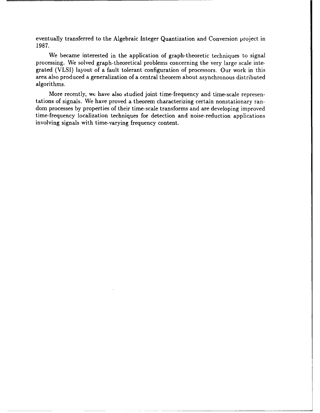eventually transferred to the Algebraic Integer Quantization and Conversion project in 1987.

We became interested in the application of graph-theoretic techniques to signal processing. We solved graph-theoretical problems concerning the very large scale integrated (VLSI) layout of a fault tolerant configuration of processors. Our work in this area also produced a generalization of a central theorem about asynchronous distributed algorithms.

More recently, we have also studied joint time-frequency and time-scale representations of signals. We have proved a theorem characterizing certain nonstationary random processes by properties of their time-scale transforms and are developing improved time-frequency localization techniques for detection and noise-reduction applications involving signals with time-varying frequency content.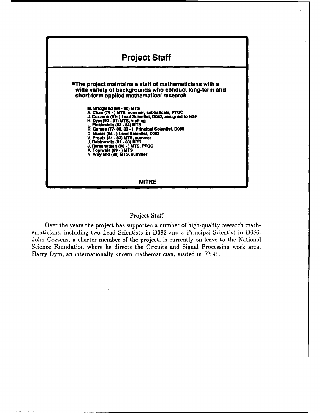

## Project Staff

Over the years the project has supported a number of high-quality research mathematicians, including two Lead Scientists in **D082** and a Principal Scientist in **D080.** John Cozzens, a charter member of the project, is currently on leave to the National Science Foundation where he directs the Circuits and Signal Processing work area. Harry Dym, an internationally known mathematician, visited in FY91.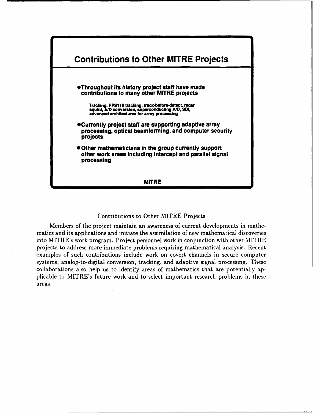

#### Contributions to Other MITRE Projects

Members of the project maintain an awareness of current developments in mathematics and its applications and initiate the assimilation of new mathematical discoveries into MITRE's work program. Project personnel work in conjunction with other MITRE projects to address more immediate problems requiring mathematical analysis. Recent examples of such contributions include work on covert channels in secure computer systems, analog-to-digital conversion, tracking, and adaptive signal processing. These collaborations also help us to identify areas of mathematics that are potentially applicable to MITRE's future work and to select important research problems in these areas.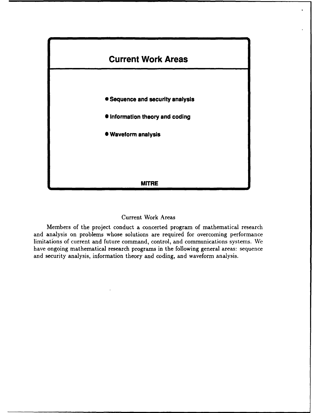

# Current Work Areas

Members of the project conduct a concerted program of mathematical research and analysis on problems whose solutions are required for overcoming performance limitations of current and future command, control, and communications systems. We have ongoing mathematical research programs in the following general areas: sequence and security analysis, information theory and coding, and waveform analysis.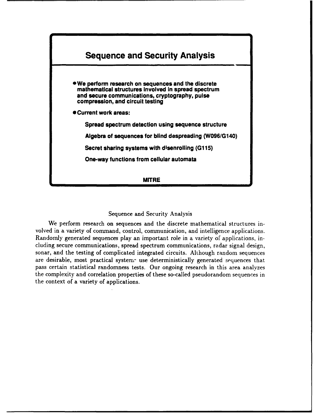

## Sequence and Security Analysis

We perform research on sequences and the discrete mathematical structures involved in a variety of command, control, communication, and intelligence applications. Randomly generated sequences play an important role in a variety of applications, including secure communications, spread spectrum communications, radar signal design, sonar, and the testing of complicated integrated circuits. Although random sequences are desirable, most practical system: use deterministically generated sequences that pass certain statistical randomness tests. Our ongoing research in this area analyzes the complexity and correlation properties of these so-called pseudorandom sequences in the context of a variety of applications.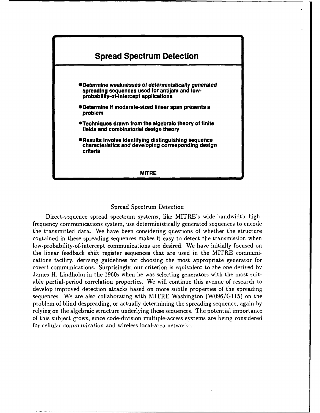

## Spread Spectrum Detection

Direct-sequence spread spectrum systems, like MITRE's wide-bandwidth highfrequency communications system, use deterministically generated sequences to encode the transmitted data. We have been considering questions of whether the structure contained in these spreading sequences makes it easy to detect the transmission when low- probability-of- intercept communications are desired. We have initially focused on the linear feedback shirt register sequences that are used in the MITRE communications facility, deriving guidelines for choosing the most appropriate generator for covert communications. Surprisingly, our criterion is equivalent to the one derived **by** James H. Lindholm in the 1960s when he was selecting generators with the most suitable partial-period correlation properties. We will continue this avenue of research to develop improved detection attacks based on more subtle properties of the spreading sequences. We are also collaborating with MITRE Washington (W096/GI15) on the problem of blind despreading, or actually determining the spreading sequence, again **by** relying on the algebraic structure underlying these sequences. The potential importance of this subject grows, since code-division multiple-access systems are being considered for cellular communication and wireless local-area networks.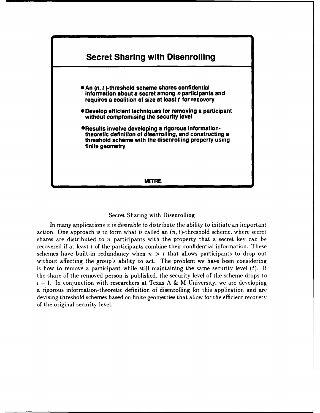

# Secret Sharing with Disenrolling

In many applications it is desirable to distribute the ability to initiate an important action. One approach is to form what is called an *(n,* t)-threshold scheme, where secret shares are distributed to *n* participants with the property that a secret key can be recovered if at least  $t$  of the participants combine their confidential information. These schemes have built-in redundancy when  $n > t$  that allows participants to drop out without affecting the group's ability to act. The problem we have been considering is how to remove a participant while still maintaining the same security level  $(t)$ . If the share of the removed person is published, the security level of the scheme drops to  $t-1$ . In conjunction with researchers at Texas A & M University, we are developing a rigorous information-theoretic definition of disenrolling for this application and are devising threshold schemes based on finite geometries that allow for the efficient recovery of the original security level.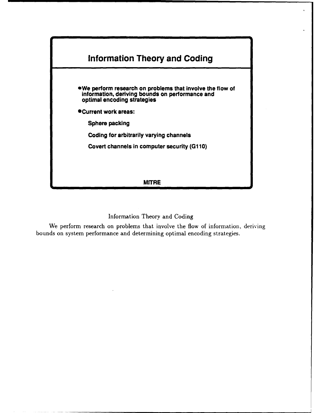

Information Theory and Coding

We perform research on problems that involve the flow of information, deriving bounds on system performance and determining optimal encoding strategies.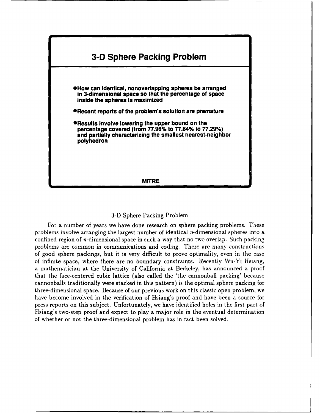

## **3-D** Sphere Packing Problem

For a number of years we have done research on sphere packing problems. These problems involve arranging the largest number of identical  $n$ -dimensional spheres into a confined region of n-dimensional space in such a way that no two overlap. Such packing problems are common in communications and coding. There are many constructions of good sphere packings, but it is very difficult to prove optimality, even in the case of infinite space, where there are no boundary constraints. Recently Wu-Yi Hsiang, a mathematician at the University of California at Berkeley, has announced a proof that the face-centered cubic lattice (also called the 'the cannonball packing' because cannonballs traditionally were stacked in this pattern) is the optimal sphere packing for three-dimensional space. Because of our previous work on this classic open problem, we have become involved in the verification of Hsiang's proof and have been a source for press reports on this subject. Unfortunately, we have identified holes in the first part of Hsiang's two-step proof and expect to play a major role in the eventual determination of whether or not the three-dimensional problem has in fact been solved.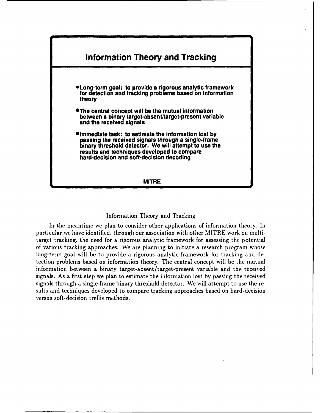

## Information Theory and Tracking

In the meantime we plan to consider other applications of information theory. In particular we have identified, through our association with other MITRE work on multitarget tracking, the need for a rigorous analytic framework for assessing the potential of various tracking approaches. We are planning to initiate a research program whose long-term goal will be to provide a rigorous analytic framework for tracking and detection problems based on information theory. The central concept will be the mutual information between a binary target-absent/target-present variable and the received signals. As a first step we plan to estimate the information lost by passing the received signals through a single-frame binary threshold detector. We will attempt to use the results and techniques developed to compare tracking approaches based on hard-decision versus soft-decision trellis mcthods.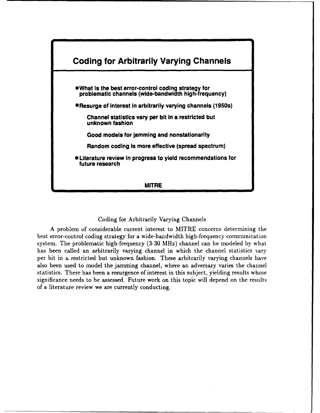

# Coding for Arbitrarily Varying Channels

A problem of considerable current interest to MITRE concerns determining the best error-control coding strategy for a wide-bandwidth high-frequency communication system. The problematic high-frequency (3-30 MHz) channel can be modeled by what has been called an arbitrarily varying channel in which the channel statistics vary per bit in a restricted but unknown fashion. These arbitrarily varying channels have also been used to model the jamming channel, where an adversary varies the channel statistics. There has been a resurgence of interest in this subject, yielding results whose significance needs to be assessed. Future work on this topic will depend on the results of a literature review we are currently conducting.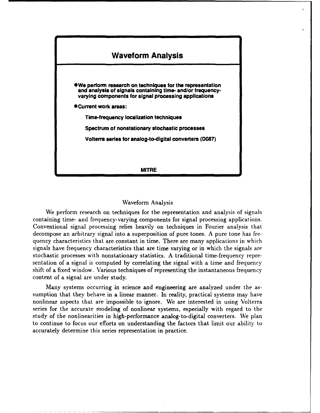

## Waveform Analysis

We perform research on techniques for the representation and analysis of signals containing time- and frequency-varying components for signal processing applications. Conventional signal processing relies heavily on techniques in Fourier analysis that decompose an arbitrary signal into a superposition of pure tones. A pure tone has frequency characteristics that are constant in time. There are many applications in which signals have frequency characteristics that are time varying or in which the signals are stochastic processes with nonstationary statistics. A traditional time-frequency representation of a signal is computed by correlating the signal with a time and frequency shift of a fixed window. Various techniques of representing the instantaneous frequency content of a signal are under study.

Many systems occurring in science and engineering are analyzed under the assumption that they behave in a linear manner. In reality, practical systems may have nonlinear aspects that are impossible to ignore. We are interested in using Volterra series for the accurate modeling of nonlinear systems, especially with regard to the study of the nonlinearities in high-performance analog-to-digital converters. We plan to continue to focus our efforts on understanding the factors that limit our ability to accurately determine this series representation in practice.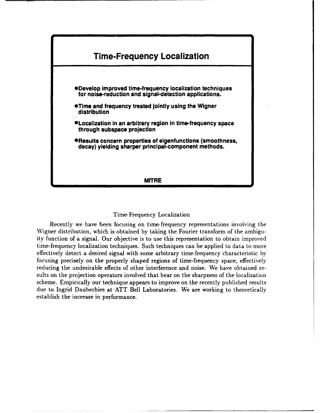

# Time- Frequency Localization

Recently we have been focusing on time-frequency representations involving the Wigner distribution, which is obtained by taking the Fourier transform of the ambiguity function of a signal. Our objective is to use this representation to obtain improved time-frequency localization techniques. Such techniques can be applied to data to more effectively detect a desired signal with some arbitrary time-frequency characteristic by focusing precisely on the properly shaped regions of time-frequency space, effectively reducing the undesirable effects of other interference and noise. We have obtained results on the projection operators involved that bear on the sharpness of the localization scheme. Empirically our technique appears to improve on the recently published results due to Ingrid Daubechies at ATT Bell Laboratories. We are working to theoretically establish the increase in performance.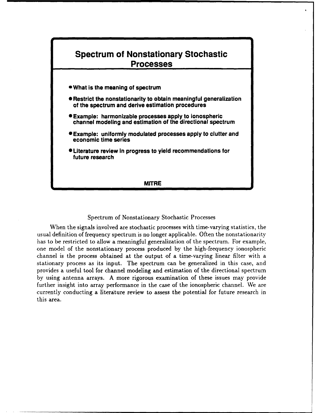

# Spectrum of Nonstationary Stochastic Processes

When the signals involved are stochastic processes with time-varying statistics, the usual definition of frequency spectrum is no longer applicable. Often the nonstationarity has to be restricted to allow a meaningful generalization of the spectrum. For example, one model of the nonstationary process produced by the high-frequency ionospheric channel is the process obtained at the output of a time-varying linear filter with a stationary process as its input. The spectrum can be generalized in this case, and provides a useful tool for channel modeling and estimation of the directional spectrum by using antenna arrays. A more rigorous examination of these issues may provide further insight into array performance in the case of the ionospheric channel. We are currently conducting a literature review to assess the potential for future research in this area.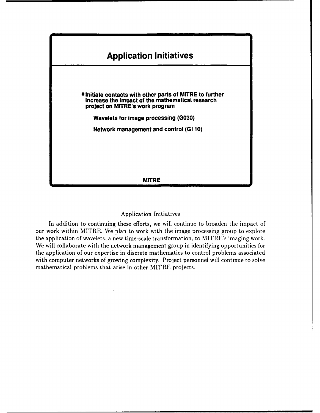

## Application Initiatives

In addition to continuing these efforts, we will continue to broaden the impact of our work within MITRE. We plan to work with the image processing group to explore the application of wavelets, a new time-scale transformation, to MITRE's imaging work. We will collaborate with the network management group in identifying opportunities for the application of our expertise in discrete mathematics to control problems associated with computer networks of growing complexity. Project personnel will continue to solve mathematical problems that arise in other MITRE projects.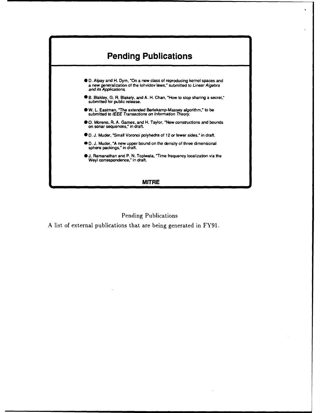

# Pending Publications

A list of external publications that are being generated in FY91.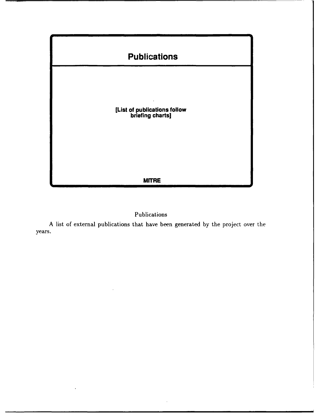

# Publications

A list of external publications that have been generated **by** the project over the years.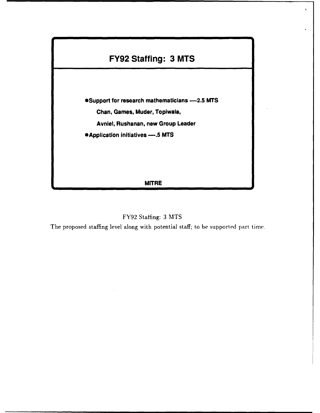

ï



The proposed staffing level along with potential staff; to be supported part time.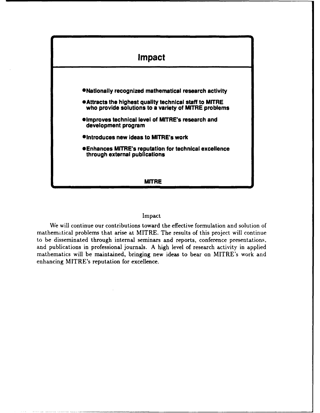

#### Impact

We will continue our contributions toward the effective formulation and solution of mathematical problems that arise at MITRE. The results of this project will continue to be disseminated through internal seminars and reports, conference presentations, and publications in professional journals. A high level of research activity in applied mathematics will be maintained, bringing new ideas to bear on MITRE's work and enhancing MITRE's reputation for excellence.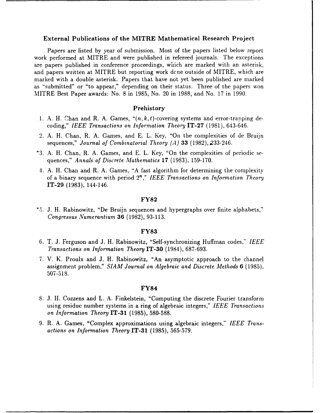#### **External Publications of the MITRE Mathematical Research Project**

**Papers are** listed **by** year of submission. Most of the papers listed below report work performed at MITRE and were published in refereed journals. The exceptions are papers published in conference proceedings, which are marked with an asterisk, and papers written at MITRE but reporting work dcne outside of MITRE, which are marked with a double asterisk. Papers that have not yet been published are marked as "submitted" or "to appear," depending on their status. Three of the papers won MITRE Best Paper awards: No. **8** in **1985,** No. 20 in **1988,** and No. **17** in **1990.**

#### **Prehistory**

- **1. A.** H. Chan and **R. A.** Games, "(n, **k,** t)-covering systems and error-trapping decoding," *IEEE Transactions on Information Theory* **IT-27 (1981),** 643-646.
- 2. **A.** H. Chan, R. **A.** Games, and **E.** L. Key, "On the complexities of de Bruijn sequences," *Journal of Combinatorial Theory (A)* **33 (1982),233-246.**
- **\*3. A.** H. Chan, **R. A.** Games, and **E.** L. Key, "On the complexities of periodic sequences," *Annals of Discrete Mathematics* **17 (1983), 159-170.**
- 4. **A.** H. Chan and R. **A.** Games, **"A** fast algorithm for determining the complexity of a binary sequence with period 2'," *IEEE Transactions on Information Theory* **IT-29 (1983),** 144-146.

#### **FY82**

**5. J.** H. Rabinowitz, "De Bruijn sequences and hypergraphs over finite alphabets," *Congressus Numerantium* **36 (1982), 93-113.**

#### **FY83**

- **6.** T. **J.** Ferguson and **J.** H. Rabinowitz, "Self-synchronizing Huffman codes," *IEEE Transactions on Information Theory* **IT-30** (1984), **687-693.**
- **7.** V. K. Proulx and **J.** H. Rabinowitz, "An asymptotic approach to the channel assignment problem," *SIAM Journal on Algebraic and Discrete Methods* **6 (1985). 507-518.**

#### **FY84**

- **8. J.** H. Cozzens and L. **A.** Finkelstein, "Computing the discrete Fourier transform using residue number systems in a ring of algebraic integers," *IEEE Transactions on Information Theory* **IT-31 (1985), 580-588.**
- **9.** R. **A.** Games, "Complex approximations using algebraic integers," *IEEE Transactions on Information Theory* **IT-31 (1985), 565-579.**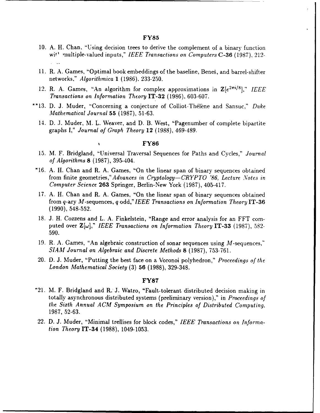#### FY85

- 10. A. H. Chan, "Using decision trees to derive the complement of a binary function wit' multiple-valued inputs," *IEEE Transactions on Computers* C-36 (1987), 212-
- 11. R. A. Games, "Optimal book embeddings of the baseline, Bene§, and barrel-shifter networks," *Algorithmica* 1 (1986). 233-250.
- 12. R. A. Games, "An algorithm for complex approximations in  $\mathbf{Z}[e^{2\pi i/8}]$ ," IEEE *Transactions on Information Theory* **IT-32** (1986), 603-607.
- **\*\*13.** D. **J.** Muder, "Concerning a conjecture of Colliot-Th~l~ne and Sansuc," *Duke Mathematical Journal* **55** (1987), 51-63.
	- 14. D. **.1.** Muder, M. L. Weaver, and D. B. West, "Pagenumber of complete bipartite graphs I," *Journal of Graph Theory* 12 (1988), 469-489.

#### **FY86**

 $\mathbf{r}$ 

- **15.** M. F. Bridgland, "Universal Traversal Sequences for Paths and Cycles," *Journal of Algorithms* **8** (1987), 395-404.
- "16. A. H. Chan and R. A. Games, "On the linear span of binary sequences obtained from finite geometries," *Advances in Cryptology-CRYPTO '86, Lecture Notes in Computer Science* **263** Springer, Berlin-New York (1987), 405-417.
- 17. A. H. Chan and R. A. Games, "On the linear span of binary sequences obtained from q-ary M-sequences, q odd," *IEEE Transactions on Information Theory* IT-36 (1990), 548-552.
- 18. J. H. Cozzens and L. **A.** Finkelstein, "Range and error analysis for an FFT computed over  $\mathbf{Z}[\omega],$ " *IEEE Transactions on Information Theory* IT-33 (1987), 582-590.
- 19. R. A. Games, "An algebraic construction of sonar sequences using M-sequences,'" *SIAM Journal on Algebraic and Discrete Methods* 8 (1987), 753-761.
- 20. D. J. Muder, "Putting the best face on a Voronoi polyhedron," *Proceedings of the London Mathematical Society* (3) **56** (1988), 329-348.

#### **FY87**

- '21. M. F. Bridgland and R. J. Watro, "Fault-tolerant distributed decision making in totally asynchronous distributed systems (preliminary version)," in *Proceedings of the Sixth Annual ACM Symposium on the Principles of Distributed Computing,* 1987, 52-63.
- 22. D. **J.** Muder, "Minimal trellises for block codes," *IEEE Transactions on Information Theory* **IT-34** (1988), 1049-1053.